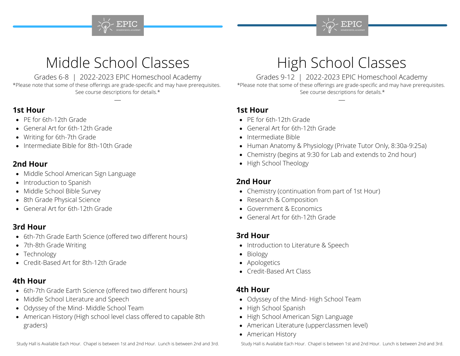



## Middle School Classes

Grades 6-8 | 2022-2023 EPIC Homeschool Academy \*Please note that some of these offerings are grade-specific and may have prerequisites.

#### See course descriptions for details.\*

### **1st Hour**

- PE for 6th-12th Grade
- General Art for 6th-12th Grade
- Writing for 6th-7th Grade
- Intermediate Bible for 8th-10th Grade

#### **2nd Hour**

- Middle School American Sign Language
- Introduction to Spanish
- Middle School Bible Survey
- 8th Grade Physical Science
- General Art for 6th-12th Grade

## **3rd Hour**

- 6th-7th Grade Earth Science (offered two different hours)
- 7th-8th Grade Writing
- Technology
- Credit-Based Art for 8th-12th Grade

## **4th Hour**

- 6th-7th Grade Earth Science (offered two different hours)
- Middle School Literature and Speech
- Odyssey of the Mind- Middle School Team
- American History (High school level class offered to capable 8th graders)

# High School Classes

Grades 9-12 | 2022-2023 EPIC Homeschool Academy

\*Please note that some of these offerings are grade-specific and may have prerequisites. See course descriptions for details.\*

## **1st Hour**

- PE for 6th-12th Grade
- General Art for 6th-12th Grade
- Intermediate Bible
- Human Anatomy & Physiology (Private Tutor Only, 8:30a-9:25a)
- Chemistry (begins at 9:30 for Lab and extends to 2nd hour)
- High School Theology

## **2nd Hour**

- Chemistry (continuation from part of 1st Hour)
- Research & Composition
- Government & Economics
- General Art for 6th-12th Grade

## **3rd Hour**

- Introduction to Literature & Speech
- Biology
- Apologetics
- Credit-Based Art Class

## **4th Hour**

- Odyssey of the Mind- High School Team
- High School Spanish
- High School American Sign Language
- American Literature (upperclassmen level)
- American History